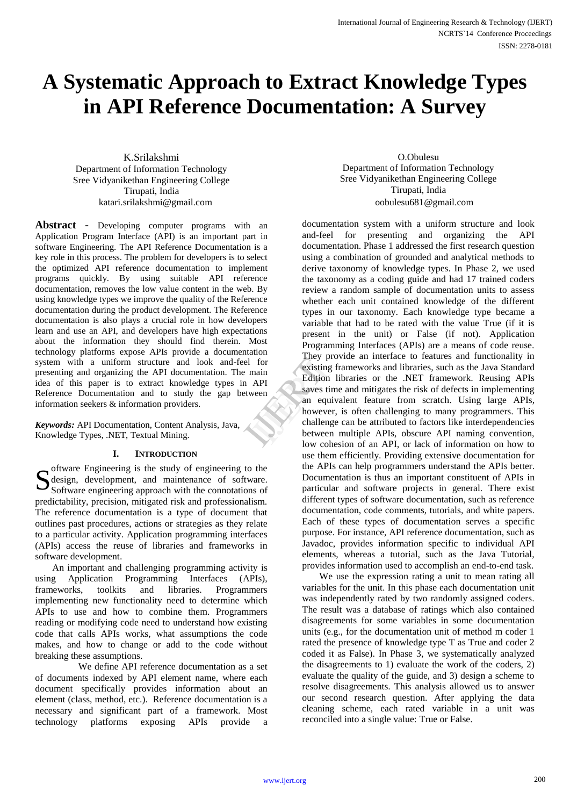# **A Systematic Approach to Extract Knowledge Types in API Reference Documentation: A Survey**

K.Srilakshmi Department of Information Technology Sree Vidyanikethan Engineering College Tirupati, India

**Abstract** *-* Developing computer programs with an Application Program Interface (API) is an important part in software Engineering. The API Reference Documentation is a key role in this process. The problem for developers is to select the optimized API reference documentation to implement programs quickly. By using suitable API reference documentation, removes the low value content in the web. By using knowledge types we improve the quality of the Reference documentation during the product development. The Reference documentation is also plays a crucial role in how developers learn and use an API, and developers have high expectations about the information they should find therein. Most technology platforms expose APIs provide a documentation system with a uniform structure and look and-feel for presenting and organizing the API documentation. The main idea of this paper is to extract knowledge types in API Reference Documentation and to study the gap between information seekers & information providers.

*Keywords:* API Documentation, Content Analysis, Java, Knowledge Types, .NET, Textual Mining.

## **I. INTRODUCTION**

oftware Engineering is the study of engineering to the design, development, and maintenance of software. Software engineering approach with the connotations of predictability, precision, mitigated risk and professionalism. The reference documentation is a type of document that outlines past procedures, actions or strategies as they relate to a particular activity. Application programming interfaces (APIs) access the reuse of libraries and frameworks in software development. S

An important and challenging programming activity is using Application Programming Interfaces (APIs), frameworks, toolkits and libraries. Programmers implementing new functionality need to determine which APIs to use and how to combine them. Programmers reading or modifying code need to understand how existing code that calls APIs works, what assumptions the code makes, and how to change or add to the code without breaking these assumptions.

 We define API reference documentation as a set of documents indexed by API element name, where each document specifically provides information about an element (class, method, etc.). Reference documentation is a necessary and significant part of a framework. Most technology platforms exposing APIs provide a

O.Obulesu Department of Information Technology Sree Vidyanikethan Engineering College Tirupati, India katari.srilakshmi@gmail.com oobulesu681@gmail.com

> documentation system with a uniform structure and look and-feel for presenting and organizing the API documentation. Phase 1 addressed the first research question using a combination of grounded and analytical methods to derive taxonomy of knowledge types. In Phase 2, we used the taxonomy as a coding guide and had 17 trained coders review a random sample of documentation units to assess whether each unit contained knowledge of the different types in our taxonomy. Each knowledge type became a variable that had to be rated with the value True (if it is present in the unit) or False (if not). Application Programming Interfaces (APIs) are a means of code reuse. They provide an interface to features and functionality in existing frameworks and libraries, such as the Java Standard Edition libraries or the .NET framework. Reusing APIs saves time and mitigates the risk of defects in implementing an equivalent feature from scratch. Using large APIs, however, is often challenging to many programmers. This challenge can be attributed to factors like interdependencies between multiple APIs, obscure API naming convention, low cohesion of an API, or lack of information on how to use them efficiently. Providing extensive documentation for the APIs can help programmers understand the APIs better. Documentation is thus an important constituent of APIs in particular and software projects in general. There exist different types of software documentation, such as reference documentation, code comments, tutorials, and white papers. Each of these types of documentation serves a specific purpose. For instance, API reference documentation, such as Javadoc, provides information specific to individual API elements, whereas a tutorial, such as the Java Tutorial, provides information used to accomplish an end-to-end task. They provention<br>
> They proventing fraction<br>
> NPI<br>
> Reflition literation<br>
> Saves time<br>
> an equiva<br>
> however, including the between<br>
> low cohesi

> > We use the expression rating a unit to mean rating all variables for the unit. In this phase each documentation unit was independently rated by two randomly assigned coders. The result was a database of ratings which also contained disagreements for some variables in some documentation units (e.g., for the documentation unit of method m coder 1 rated the presence of knowledge type T as True and coder 2 coded it as False). In Phase 3, we systematically analyzed the disagreements to 1) evaluate the work of the coders, 2) evaluate the quality of the guide, and 3) design a scheme to resolve disagreements. This analysis allowed us to answer our second research question. After applying the data cleaning scheme, each rated variable in a unit was reconciled into a single value: True or False.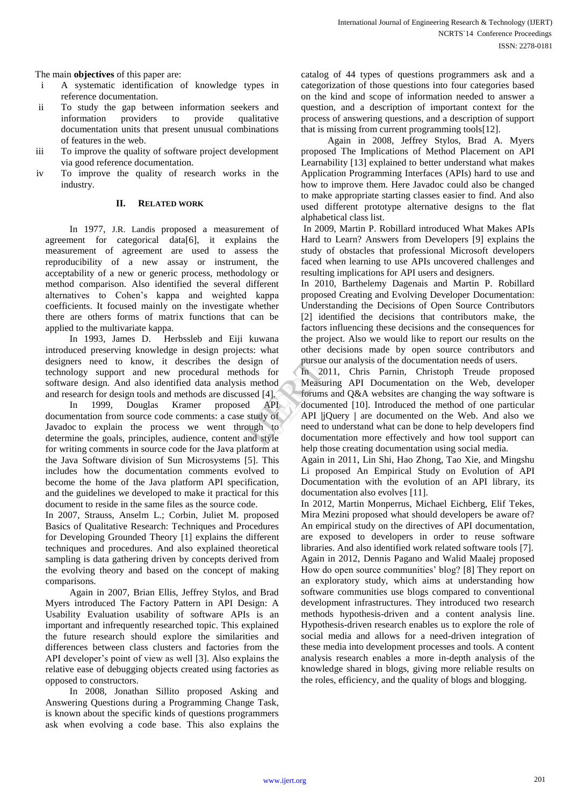The main **objectives** of this paper are:

- i A systematic identification of knowledge types in reference documentation.
- ii To study the gap between information seekers and information providers to provide qualitative documentation units that present unusual combinations of features in the web.
- iii To improve the quality of software project development via good reference documentation.
- iv To improve the quality of research works in the industry.

## **II. RELATED WORK**

In 1977, J.R. Landis proposed a measurement of agreement for categorical data[6], it explains the measurement of agreement are used to assess the reproducibility of a new assay or instrument, the acceptability of a new or generic process, methodology or method comparison. Also identified the several different alternatives to Cohen's kappa and weighted kappa coefficients. It focused mainly on the investigate whether there are others forms of matrix functions that can be applied to the multivariate kappa.

In 1993, James D. Herbssleb and Eiji kuwana introduced preserving knowledge in design projects: what designers need to know, it describes the design of technology support and new procedural methods for software design. And also identified data analysis method and research for design tools and methods are discussed [4].

In 1999, Douglas Kramer proposed API documentation from source code comments: a case study of Javadoc to explain the process we went through to determine the goals, principles, audience, content and style for writing comments in source code for the Java platform at the Java Software division of Sun Microsystems [5]. This includes how the documentation comments evolved to become the home of the Java platform API specification, and the guidelines we developed to make it practical for this document to reside in the same files as the source code.

In 2007, Strauss, Anselm L.; Corbin, Juliet M. proposed Basics of Qualitative Research: Techniques and Procedures for Developing Grounded Theory [1] explains the different techniques and procedures. And also explained theoretical sampling is data gathering driven by concepts derived from the evolving theory and based on the concept of making comparisons.

Again in 2007, Brian Ellis, Jeffrey Stylos, and Brad Myers introduced The Factory Pattern in API Design: A Usability Evaluation usability of software APIs is an important and infrequently researched topic. This explained the future research should explore the similarities and differences between class clusters and factories from the API developer's point of view as well [3]. Also explains the relative ease of debugging objects created using factories as opposed to constructors.

In 2008, Jonathan Sillito proposed Asking and Answering Questions during a Programming Change Task, is known about the specific kinds of questions programmers ask when evolving a code base. This also explains the catalog of 44 types of questions programmers ask and a categorization of those questions into four categories based on the kind and scope of information needed to answer a question, and a description of important context for the process of answering questions, and a description of support that is missing from current programming tools[12].

Again in 2008, Jeffrey Stylos, Brad A. Myers proposed The Implications of Method Placement on API Learnability [13] explained to better understand what makes Application Programming Interfaces (APIs) hard to use and how to improve them. Here Javadoc could also be changed to make appropriate starting classes easier to find. And also used different prototype alternative designs to the flat alphabetical class list.

In 2009, Martin P. Robillard introduced What Makes APIs Hard to Learn? Answers from Developers [9] explains the study of obstacles that professional Microsoft developers faced when learning to use APIs uncovered challenges and resulting implications for API users and designers.

In 2010, Barthelemy Dagenais and Martin P. Robillard proposed Creating and Evolving Developer Documentation: Understanding the Decisions of Open Source Contributors [2] identified the decisions that contributors make, the factors influencing these decisions and the consequences for the project. Also we would like to report our results on the other decisions made by open source contributors and pursue our analysis of the documentation needs of users.

In 2011, Chris Parnin, Christoph Treude proposed Measuring API Documentation on the Web, developer forums and Q&A websites are changing the way software is documented [10]. Introduced the method of one particular API **|**jQuery **|** are documented on the Web. And also we need to understand what can be done to help developers find documentation more effectively and how tool support can help those creating documentation using social media. ign of pursue our<br>
ds for In 2011,<br>
method Measuring<br>
ed [4]. forums and<br>
API documente<br>
tudy of API  $j$  Quer<br>
tudy of API  $j$  Quer<br>
need to und<br>
d style documenta

Again in 2011, Lin Shi, Hao Zhong, Tao Xie, and Mingshu Li proposed An Empirical Study on Evolution of API Documentation with the evolution of an API library, its documentation also evolves [11].

In 2012, Martin Monperrus, Michael Eichberg, Elif Tekes, Mira Mezini proposed what should developers be aware of? An empirical study on the directives of API documentation, are exposed to developers in order to reuse software libraries. And also identified work related software tools [7]. Again in 2012, Dennis Pagano and Walid Maalej proposed How do open source communities' blog? [8] They report on an exploratory study, which aims at understanding how software communities use blogs compared to conventional development infrastructures. They introduced two research methods hypothesis-driven and a content analysis line. Hypothesis-driven research enables us to explore the role of social media and allows for a need-driven integration of these media into development processes and tools. A content analysis research enables a more in-depth analysis of the knowledge shared in blogs, giving more reliable results on the roles, efficiency, and the quality of blogs and blogging.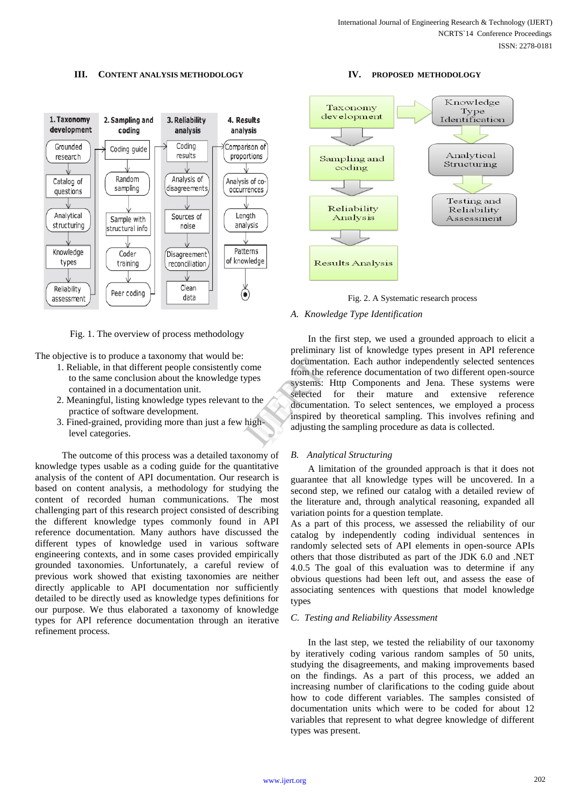#### **III. CONTENT ANALYSIS METHODOLOGY**



Fig. 1. The overview of process methodology

The objective is to produce a taxonomy that would be:

- 1. Reliable, in that different people consistently come to the same conclusion about the knowledge types contained in a documentation unit.
- 2. Meaningful, listing knowledge types relevant to the practice of software development.
- 3. Fined-grained, providing more than just a few high level categories.

 The outcome of this process was a detailed taxonomy of knowledge types usable as a coding guide for the quantitative analysis of the content of API documentation. Our research is based on content analysis, a methodology for studying the content of recorded human communications. The most challenging part of this research project consisted of describing the different knowledge types commonly found in API reference documentation. Many authors have discussed the different types of knowledge used in various software engineering contexts, and in some cases provided empirically grounded taxonomies. Unfortunately, a careful review of previous work showed that existing taxonomies are neither directly applicable to API documentation nor sufficiently detailed to be directly used as knowledge types definitions for our purpose. We thus elaborated a taxonomy of knowledge types for API reference documentation through an iterative refinement process.

#### **IV. PROPOSED METHODOLOGY**



Fig. 2. A Systematic research process

#### *A. Knowledge Type Identification*

In the first step, we used a grounded approach to elicit a preliminary list of knowledge types present in API reference documentation. Each author independently selected sentences from the reference documentation of two different open-source systems: Http Components and Jena. These systems were selected for their mature and extensive reference documentation. To select sentences, we employed a process inspired by theoretical sampling. This involves refining and adjusting the sampling procedure as data is collected. me<br>
documentatio<br>
from the refer<br>
systems: Http<br>
selected for<br>
documentatio<br>
inspired by t<br>
adjusting the :

#### *B. Analytical Structuring*

A limitation of the grounded approach is that it does not guarantee that all knowledge types will be uncovered. In a second step, we refined our catalog with a detailed review of the literature and, through analytical reasoning, expanded all variation points for a question template.

As a part of this process, we assessed the reliability of our catalog by independently coding individual sentences in randomly selected sets of API elements in open-source APIs others that those distributed as part of the JDK 6.0 and .NET 4.0.5 The goal of this evaluation was to determine if any obvious questions had been left out, and assess the ease of associating sentences with questions that model knowledge types

#### *C. Testing and Reliability Assessment*

In the last step, we tested the reliability of our taxonomy by iteratively coding various random samples of 50 units, studying the disagreements, and making improvements based on the findings. As a part of this process, we added an increasing number of clarifications to the coding guide about how to code different variables. The samples consisted of documentation units which were to be coded for about 12 variables that represent to what degree knowledge of different types was present.